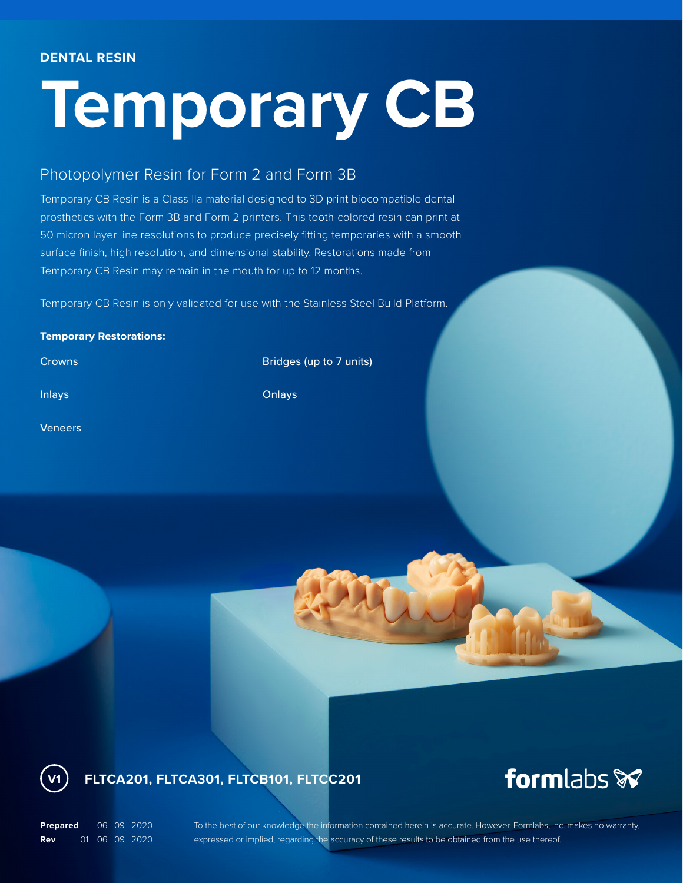#### **DENTAL RESIN**

# **Temporary CB**

### Photopolymer Resin for Form 2 and Form 3B

Temporary CB Resin is a Class IIa material designed to 3D print biocompatible dental prosthetics with the Form 3B and Form 2 printers. This tooth-colored resin can print at 50 micron layer line resolutions to produce precisely fitting temporaries with a smooth surface finish, high resolution, and dimensional stability. Restorations made from Temporary CB Resin may remain in the mouth for up to 12 months.

Temporary CB Resin is only validated for use with the Stainless Steel Build Platform.

#### **Temporary Restorations:**

Veneers

**Crowns Bridges** (up to 7 units)

Inlays **Onlays Onlays** 

## **FLTCA201, FLTCA301, FLTCB101, FLTCC201**

# formlabs **x**

**Prepared** 06.09.2020 **Rev** 01 06 . 09 . 2020

**V1**

To the best of our knowledge the information contained herein is accurate. However, Formlabs, Inc. makes no warranty, expressed or implied, regarding the accuracy of these results to be obtained from the use thereof.